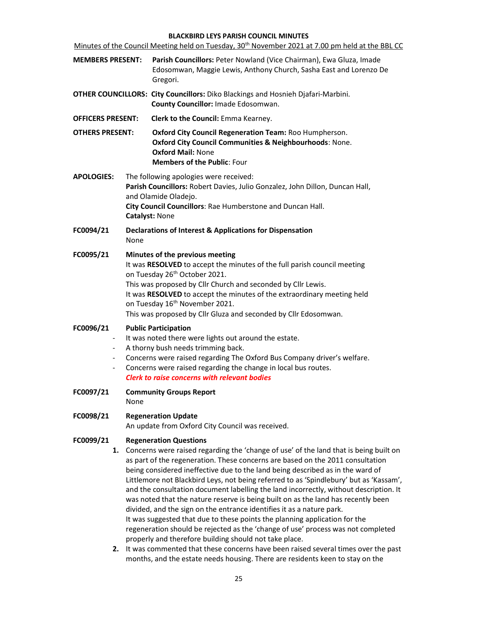### BLACKBIRD LEYS PARISH COUNCIL MINUTES

|                                                                 | Minutes of the Council Meeting held on Tuesday, 30 <sup>th</sup> November 2021 at 7.00 pm held at the BBL CC                                                                                                                                                                                                                                                                                                                                                                                                                                                                                                                                                                                                                                                                                                                                                               |  |  |  |
|-----------------------------------------------------------------|----------------------------------------------------------------------------------------------------------------------------------------------------------------------------------------------------------------------------------------------------------------------------------------------------------------------------------------------------------------------------------------------------------------------------------------------------------------------------------------------------------------------------------------------------------------------------------------------------------------------------------------------------------------------------------------------------------------------------------------------------------------------------------------------------------------------------------------------------------------------------|--|--|--|
| <b>MEMBERS PRESENT:</b>                                         | Parish Councillors: Peter Nowland (Vice Chairman), Ewa Gluza, Imade<br>Edosomwan, Maggie Lewis, Anthony Church, Sasha East and Lorenzo De<br>Gregori.                                                                                                                                                                                                                                                                                                                                                                                                                                                                                                                                                                                                                                                                                                                      |  |  |  |
|                                                                 | OTHER COUNCILLORS: City Councillors: Diko Blackings and Hosnieh Djafari-Marbini.<br>County Councillor: Imade Edosomwan.                                                                                                                                                                                                                                                                                                                                                                                                                                                                                                                                                                                                                                                                                                                                                    |  |  |  |
| <b>OFFICERS PRESENT:</b>                                        | Clerk to the Council: Emma Kearney.                                                                                                                                                                                                                                                                                                                                                                                                                                                                                                                                                                                                                                                                                                                                                                                                                                        |  |  |  |
| <b>OTHERS PRESENT:</b>                                          | Oxford City Council Regeneration Team: Roo Humpherson.<br>Oxford City Council Communities & Neighbourhoods: None.<br><b>Oxford Mail: None</b><br><b>Members of the Public: Four</b>                                                                                                                                                                                                                                                                                                                                                                                                                                                                                                                                                                                                                                                                                        |  |  |  |
| <b>APOLOGIES:</b>                                               | The following apologies were received:<br>Parish Councillors: Robert Davies, Julio Gonzalez, John Dillon, Duncan Hall,<br>and Olamide Oladejo.<br>City Council Councillors: Rae Humberstone and Duncan Hall.<br>Catalyst: None                                                                                                                                                                                                                                                                                                                                                                                                                                                                                                                                                                                                                                             |  |  |  |
| FC0094/21                                                       | Declarations of Interest & Applications for Dispensation<br>None                                                                                                                                                                                                                                                                                                                                                                                                                                                                                                                                                                                                                                                                                                                                                                                                           |  |  |  |
| FC0095/21                                                       | Minutes of the previous meeting<br>It was RESOLVED to accept the minutes of the full parish council meeting<br>on Tuesday 26 <sup>th</sup> October 2021.<br>This was proposed by Cllr Church and seconded by Cllr Lewis.<br>It was RESOLVED to accept the minutes of the extraordinary meeting held<br>on Tuesday 16 <sup>th</sup> November 2021.<br>This was proposed by Cllr Gluza and seconded by Cllr Edosomwan.                                                                                                                                                                                                                                                                                                                                                                                                                                                       |  |  |  |
| FC0096/21<br>$\blacksquare$<br>$\blacksquare$<br>$\blacksquare$ | <b>Public Participation</b><br>It was noted there were lights out around the estate.<br>A thorny bush needs trimming back.<br>Concerns were raised regarding The Oxford Bus Company driver's welfare.<br>Concerns were raised regarding the change in local bus routes.<br><b>Clerk to raise concerns with relevant bodies</b>                                                                                                                                                                                                                                                                                                                                                                                                                                                                                                                                             |  |  |  |
| FC0097/21                                                       | <b>Community Groups Report</b><br>None                                                                                                                                                                                                                                                                                                                                                                                                                                                                                                                                                                                                                                                                                                                                                                                                                                     |  |  |  |
| FC0098/21                                                       | <b>Regeneration Update</b><br>An update from Oxford City Council was received.                                                                                                                                                                                                                                                                                                                                                                                                                                                                                                                                                                                                                                                                                                                                                                                             |  |  |  |
| FC0099/21                                                       | <b>Regeneration Questions</b><br>1. Concerns were raised regarding the 'change of use' of the land that is being built on<br>as part of the regeneration. These concerns are based on the 2011 consultation<br>being considered ineffective due to the land being described as in the ward of<br>Littlemore not Blackbird Leys, not being referred to as 'Spindlebury' but as 'Kassam',<br>and the consultation document labelling the land incorrectly, without description. It<br>was noted that the nature reserve is being built on as the land has recently been<br>divided, and the sign on the entrance identifies it as a nature park.<br>It was suggested that due to these points the planning application for the<br>regeneration should be rejected as the 'change of use' process was not completed<br>properly and therefore building should not take place. |  |  |  |

2. It was commented that these concerns have been raised several times over the past months, and the estate needs housing. There are residents keen to stay on the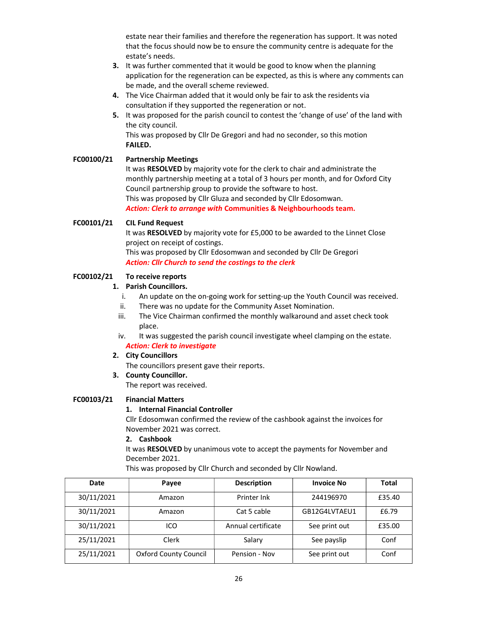estate near their families and therefore the regeneration has support. It was noted that the focus should now be to ensure the community centre is adequate for the estate's needs.

- 3. It was further commented that it would be good to know when the planning application for the regeneration can be expected, as this is where any comments can be made, and the overall scheme reviewed.
- 4. The Vice Chairman added that it would only be fair to ask the residents via consultation if they supported the regeneration or not.
- 5. It was proposed for the parish council to contest the 'change of use' of the land with the city council.

 This was proposed by Cllr De Gregori and had no seconder, so this motion FAILED.

# FC00100/21 Partnership Meetings

It was RESOLVED by majority vote for the clerk to chair and administrate the monthly partnership meeting at a total of 3 hours per month, and for Oxford City Council partnership group to provide the software to host. This was proposed by Cllr Gluza and seconded by Cllr Edosomwan. Action: Clerk to arrange with Communities & Neighbourhoods team.

## FC00101/21 CIL Fund Request

It was RESOLVED by majority vote for £5,000 to be awarded to the Linnet Close project on receipt of costings.

 This was proposed by Cllr Edosomwan and seconded by Cllr De Gregori Action: Cllr Church to send the costings to the clerk

## FC00102/21 To receive reports

## 1. Parish Councillors.

- i. An update on the on-going work for setting-up the Youth Council was received.
- ii. There was no update for the Community Asset Nomination.
- iii. The Vice Chairman confirmed the monthly walkaround and asset check took place.
- iv. It was suggested the parish council investigate wheel clamping on the estate. Action: Clerk to investigate

### 2. City Councillors

The councillors present gave their reports.

3. County Councillor.

The report was received.

# FC00103/21 Financial Matters

### 1. Internal Financial Controller

Cllr Edosomwan confirmed the review of the cashbook against the invoices for November 2021 was correct.

# 2. Cashbook

It was RESOLVED by unanimous vote to accept the payments for November and December 2021.

This was proposed by Cllr Church and seconded by Cllr Nowland.

| Date       | Payee                        | <b>Description</b> | <b>Invoice No</b> | Total  |
|------------|------------------------------|--------------------|-------------------|--------|
| 30/11/2021 | Amazon                       | Printer Ink        | 244196970         | £35.40 |
| 30/11/2021 | Amazon                       | Cat 5 cable        | GB12G4LVTAEU1     | £6.79  |
| 30/11/2021 | ICO                          | Annual certificate | See print out     | £35.00 |
| 25/11/2021 | Clerk                        | Salary             | See payslip       | Conf   |
| 25/11/2021 | <b>Oxford County Council</b> | Pension - Nov      | See print out     | Conf   |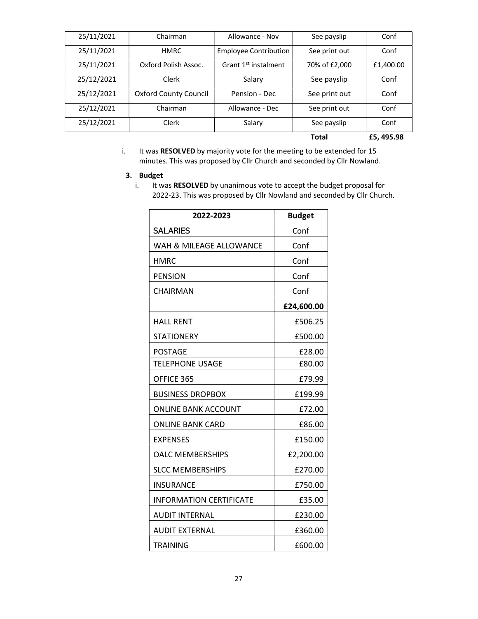| 25/11/2021 | Chairman                     | Allowance - Nov                  | See payslip   | Conf      |
|------------|------------------------------|----------------------------------|---------------|-----------|
| 25/11/2021 | <b>HMRC</b>                  | <b>Employee Contribution</b>     | See print out | Conf      |
| 25/11/2021 | Oxford Polish Assoc.         | Grant 1 <sup>st</sup> instalment | 70% of £2,000 | £1,400.00 |
| 25/12/2021 | Clerk                        | Salary                           | See payslip   | Conf      |
| 25/12/2021 | <b>Oxford County Council</b> | Pension - Dec                    | See print out | Conf      |
| 25/12/2021 | Chairman                     | Allowance - Dec                  | See print out | Conf      |
| 25/12/2021 | Clerk                        | Salary                           | See payslip   | Conf      |
|            |                              |                                  | <b>Total</b>  | £5,495.98 |

i. It was RESOLVED by majority vote for the meeting to be extended for 15 minutes. This was proposed by Cllr Church and seconded by Cllr Nowland.

## 3. Budget

i. It was RESOLVED by unanimous vote to accept the budget proposal for 2022-23. This was proposed by Cllr Nowland and seconded by Cllr Church.

| 2022-2023                      | <b>Budget</b> |
|--------------------------------|---------------|
| <b>SALARIES</b>                | Conf          |
| WAH & MILEAGE ALLOWANCE        | Conf          |
| <b>HMRC</b>                    | Conf          |
| <b>PENSION</b>                 | Conf          |
| CHAIRMAN                       | Conf          |
|                                | £24,600.00    |
| <b>HALL RENT</b>               | £506.25       |
| <b>STATIONERY</b>              | £500.00       |
| <b>POSTAGE</b>                 | £28.00        |
| <b>TELEPHONE USAGE</b>         | £80.00        |
| OFFICE 365                     | £79.99        |
| <b>BUSINESS DROPBOX</b>        | £199.99       |
| <b>ONLINE BANK ACCOUNT</b>     | £72.00        |
| <b>ONLINE BANK CARD</b>        | £86.00        |
| <b>EXPENSES</b>                | £150.00       |
| <b>OALC MEMBERSHIPS</b>        | £2,200.00     |
| <b>SLCC MEMBERSHIPS</b>        | £270.00       |
| <b>INSURANCE</b>               | £750.00       |
| <b>INFORMATION CERTIFICATE</b> | £35.00        |
| <b>AUDIT INTERNAL</b>          | £230.00       |
| <b>AUDIT EXTERNAL</b>          | £360.00       |
| <b>TRAINING</b>                | £600.00       |